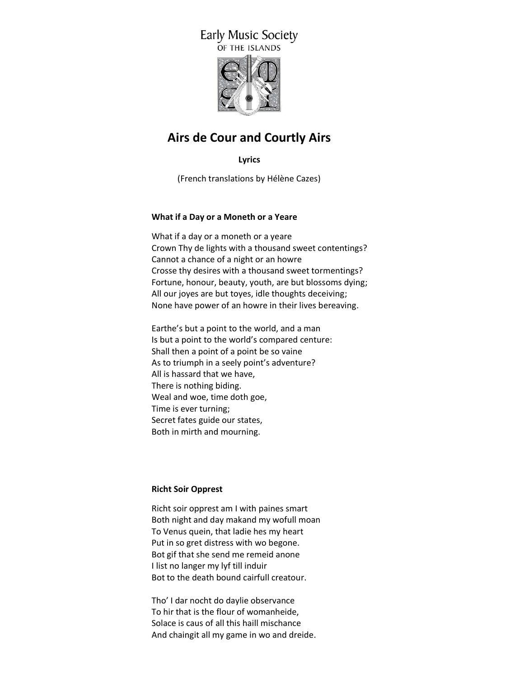# **Early Music Society** OF THE ISLANDS



# **Airs de Cour and Courtly Airs**

**Lyrics**

(French translations by Hélène Cazes)

# **What if a Day or a Moneth or a Yeare**

What if a day or a moneth or a yeare Crown Thy de lights with a thousand sweet contentings? Cannot a chance of a night or an howre Crosse thy desires with a thousand sweet tormentings? Fortune, honour, beauty, youth, are but blossoms dying; All our joyes are but toyes, idle thoughts deceiving; None have power of an howre in their lives bereaving.

Earthe's but a point to the world, and a man Is but a point to the world's compared centure: Shall then a point of a point be so vaine As to triumph in a seely point's adventure? All is hassard that we have, There is nothing biding. Weal and woe, time doth goe, Time is ever turning; Secret fates guide our states, Both in mirth and mourning.

# **Richt Soir Opprest**

Richt soir opprest am I with paines smart Both night and day makand my wofull moan To Venus quein, that ladie hes my heart Put in so gret distress with wo begone. Bot gif that she send me remeid anone I list no langer my lyf till induir Bot to the death bound cairfull creatour.

Tho' I dar nocht do daylie observance To hir that is the flour of womanheide, Solace is caus of all this haill mischance And chaingit all my game in wo and dreide.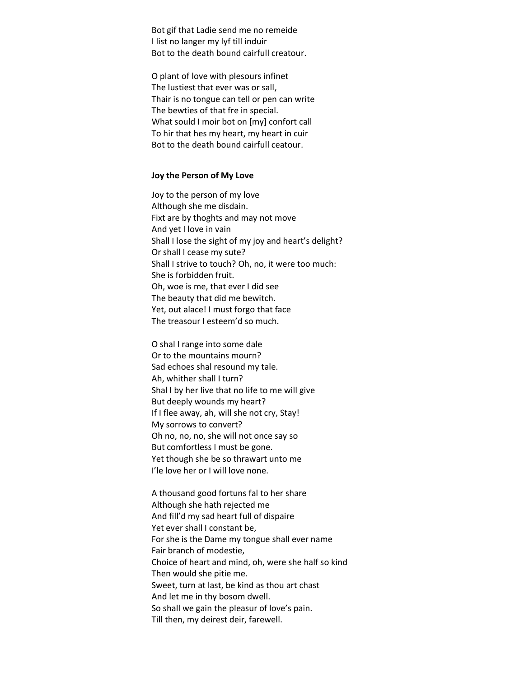Bot gif that Ladie send me no remeide I list no langer my lyf till induir Bot to the death bound cairfull creatour.

O plant of love with plesours infinet The lustiest that ever was or sall, Thair is no tongue can tell or pen can write The bewties of that fre in special. What sould I moir bot on [my] confort call To hir that hes my heart, my heart in cuir Bot to the death bound cairfull ceatour.

#### **Joy the Person of My Love**

Joy to the person of my love Although she me disdain. Fixt are by thoghts and may not move And yet I love in vain Shall I lose the sight of my joy and heart's delight? Or shall I cease my sute? Shall I strive to touch? Oh, no, it were too much: She is forbidden fruit. Oh, woe is me, that ever I did see The beauty that did me bewitch. Yet, out alace! I must forgo that face The treasour I esteem'd so much.

O shal I range into some dale Or to the mountains mourn? Sad echoes shal resound my tale. Ah, whither shall I turn? Shal I by her live that no life to me will give But deeply wounds my heart? If I flee away, ah, will she not cry, Stay! My sorrows to convert? Oh no, no, no, she will not once say so But comfortless I must be gone. Yet though she be so thrawart unto me I'le love her or I will love none.

A thousand good fortuns fal to her share Although she hath rejected me And fill'd my sad heart full of dispaire Yet ever shall I constant be, For she is the Dame my tongue shall ever name Fair branch of modestie, Choice of heart and mind, oh, were she half so kind Then would she pitie me. Sweet, turn at last, be kind as thou art chast And let me in thy bosom dwell. So shall we gain the pleasur of love's pain. Till then, my deirest deir, farewell.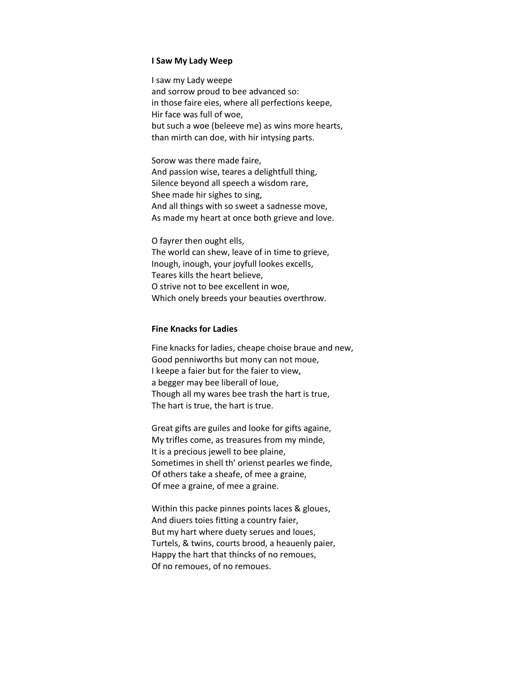#### **I Saw My Lady Weep**

I saw my Lady weepe and sorrow proud to bee advanced so: in those faire eies, where all perfections keepe, Hir face was full of woe, but such a woe (beleeve me) as wins more hearts, than mirth can doe, with hir intysing parts.

Sorow was there made faire, And passion wise, teares a delightfull thing, Silence beyond all speech a wisdom rare, Shee made hir sighes to sing, And all things with so sweet a sadnesse move, As made my heart at once both grieve and love.

O fayrer then ought ells, The world can shew, leave of in time to grieve, Inough, inough, your joyfull lookes excells, Teares kills the heart believe, O strive not to bee excellent in woe, Which onely breeds your beauties overthrow.

## **Fine Knacks for Ladies**

Fine knacks for ladies, cheape choise braue and new, Good penniworths but mony can not moue, I keepe a faier but for the faier to view, a begger may bee liberall of loue, Though all my wares bee trash the hart is true, The hart is true, the hart is true.

Great gifts are guiles and looke for gifts againe, My trifles come, as treasures from my minde, It is a precious jewell to bee plaine, Sometimes in shell th' orienst pearles we finde, Of others take a sheafe, of mee a graine, Of mee a graine, of mee a graine.

Within this packe pinnes points laces & gloues, And diuers toies fitting a country faier, But my hart where duety serues and loues, Turtels, & twins, courts brood, a heauenly paier, Happy the hart that thincks of no remoues, Of no remoues, of no remoues.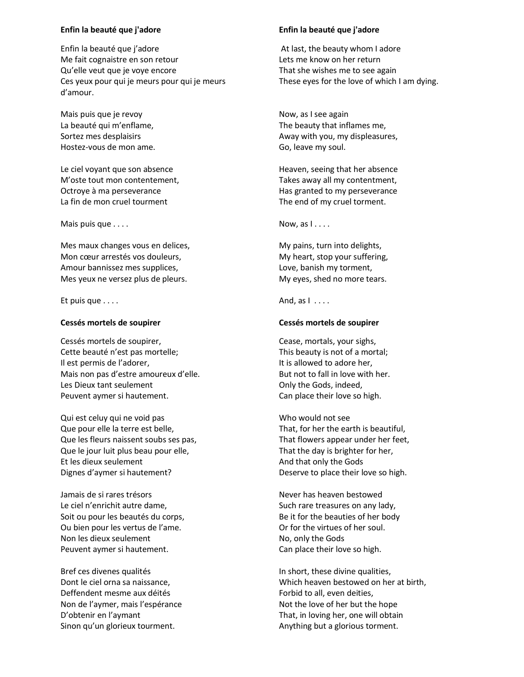### **Enfin la beauté que j'adore**

Enfin la beauté que j'adore Me fait cognaistre en son retour Qu'elle veut que je voye encore Ces yeux pour qui je meurs pour qui je meurs d'amour.

Mais puis que je revoy La beauté qui m'enflame, Sortez mes desplaisirs Hostez-vous de mon ame.

Le ciel voyant que son absence M'oste tout mon contentement, Octroye à ma perseverance La fin de mon cruel tourment

Mais puis que . . . .

Mes maux changes vous en delices, Mon cœur arrestés vos douleurs, Amour bannissez mes supplices, Mes yeux ne versez plus de pleurs.

Et puis que . . . .

## **Cessés mortels de soupirer**

Cessés mortels de soupirer, Cette beauté n'est pas mortelle; Il est permis de l'adorer, Mais non pas d'estre amoureux d'elle. Les Dieux tant seulement Peuvent aymer si hautement.

Qui est celuy qui ne void pas Que pour elle la terre est belle, Que les fleurs naissent soubs ses pas, Que le jour luit plus beau pour elle, Et les dieux seulement Dignes d'aymer si hautement?

Jamais de si rares trésors Le ciel n'enrichit autre dame, Soit ou pour les beautés du corps, Ou bien pour les vertus de l'ame. Non les dieux seulement Peuvent aymer si hautement.

Bref ces divenes qualités Dont le ciel orna sa naissance, Deffendent mesme aux déités Non de l'aymer, mais l'espérance D'obtenir en l'aymant Sinon qu'un glorieux tourment.

## **Enfin la beauté que j'adore**

At last, the beauty whom I adore Lets me know on her return That she wishes me to see again These eyes for the love of which I am dying.

Now, as I see again The beauty that inflames me, Away with you, my displeasures, Go, leave my soul.

Heaven, seeing that her absence Takes away all my contentment, Has granted to my perseverance The end of my cruel torment.

Now, as  $1 \ldots$ 

My pains, turn into delights, My heart, stop your suffering, Love, banish my torment, My eyes, shed no more tears.

And, as  $1 \ldots$ 

## **Cessés mortels de soupirer**

Cease, mortals, your sighs, This beauty is not of a mortal; It is allowed to adore her, But not to fall in love with her. Only the Gods, indeed, Can place their love so high.

Who would not see That, for her the earth is beautiful, That flowers appear under her feet, That the day is brighter for her, And that only the Gods Deserve to place their love so high.

Never has heaven bestowed Such rare treasures on any lady, Be it for the beauties of her body Or for the virtues of her soul. No, only the Gods Can place their love so high.

In short, these divine qualities, Which heaven bestowed on her at birth, Forbid to all, even deities, Not the love of her but the hope That, in loving her, one will obtain Anything but a glorious torment.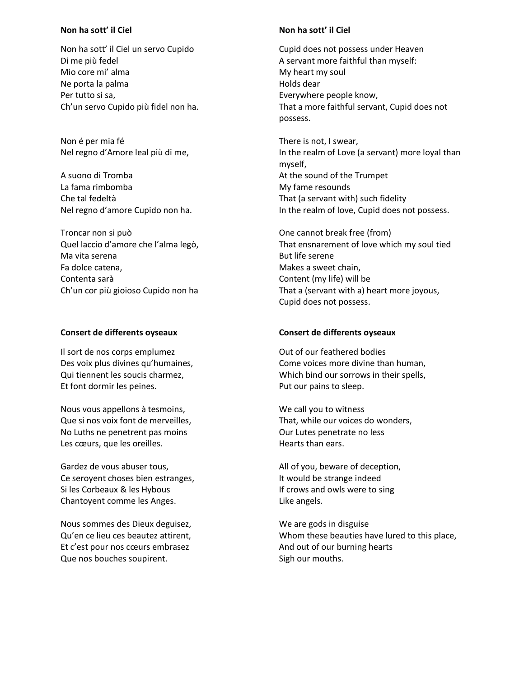## **Non ha sott' il Ciel**

Non ha sott' il Ciel un servo Cupido Di me più fedel Mio core mi' alma Ne porta la palma Per tutto si sa, Ch'un servo Cupido più fidel non ha.

Non é per mia fé Nel regno d'Amore leal più di me,

A suono di Tromba La fama rimbomba Che tal fedeltà Nel regno d'amore Cupido non ha.

Troncar non si può Quel laccio d'amore che l'alma legò, Ma vita serena Fa dolce catena, Contenta sarà Ch'un cor più gioioso Cupido non ha

## **Consert de differents oyseaux**

Il sort de nos corps emplumez Des voix plus divines qu'humaines, Qui tiennent les soucis charmez, Et font dormir les peines.

Nous vous appellons à tesmoins, Que si nos voix font de merveilles, No Luths ne penetrent pas moins Les cœurs, que les oreilles.

Gardez de vous abuser tous, Ce seroyent choses bien estranges, Si les Corbeaux & les Hybous Chantoyent comme les Anges.

Nous sommes des Dieux deguisez, Qu'en ce lieu ces beautez attirent, Et c'est pour nos cœurs embrasez Que nos bouches soupirent.

## **Non ha sott' il Ciel**

Cupid does not possess under Heaven A servant more faithful than myself: My heart my soul Holds dear Everywhere people know, That a more faithful servant, Cupid does not possess.

There is not, I swear, In the realm of Love (a servant) more loyal than myself, At the sound of the Trumpet My fame resounds That (a servant with) such fidelity In the realm of love, Cupid does not possess.

One cannot break free (from) That ensnarement of love which my soul tied But life serene Makes a sweet chain, Content (my life) will be That a (servant with a) heart more joyous, Cupid does not possess.

## **Consert de differents oyseaux**

Out of our feathered bodies Come voices more divine than human, Which bind our sorrows in their spells, Put our pains to sleep.

We call you to witness That, while our voices do wonders, Our Lutes penetrate no less Hearts than ears.

All of you, beware of deception, It would be strange indeed If crows and owls were to sing Like angels.

We are gods in disguise Whom these beauties have lured to this place, And out of our burning hearts Sigh our mouths.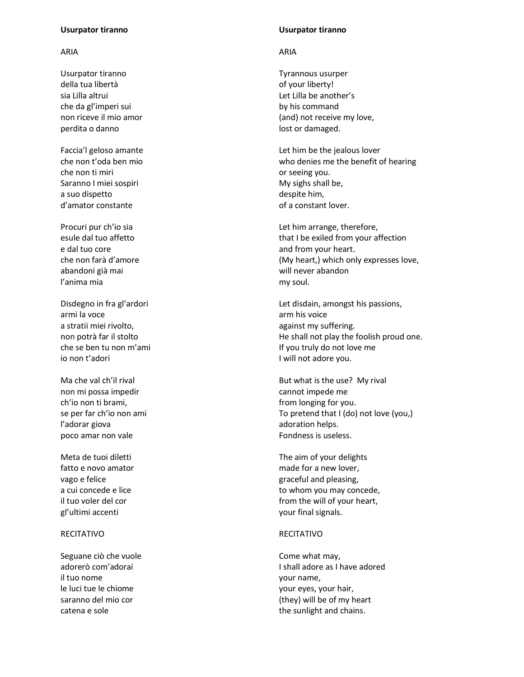### **Usurpator tiranno**

## ARIA

Usurpator tiranno della tua libertà sia Lilla altrui che da gl'imperi sui non riceve il mio amor perdita o danno

Faccia'l geloso amante che non t'oda ben mio che non ti miri Saranno I miei sospiri a suo dispetto d'amator constante

Procuri pur ch'io sia esule dal tuo affetto e dal tuo core che non farà d'amore abandoni già mai l'anima mia

Disdegno in fra gl'ardori armi la voce a stratii miei rivolto, non potrà far il stolto che se ben tu non m'ami io non t'adori

Ma che val ch'il rival non mi possa impedir ch'io non ti brami, se per far ch'io non ami l'adorar giova poco amar non vale

Meta de tuoi diletti fatto e novo amator vago e felice a cui concede e lice il tuo voler del cor gl'ultimi accenti

## RECITATIVO

Seguane ciò che vuole adorerò com'adorai il tuo nome le luci tue le chiome saranno del mio cor catena e sole

### **Usurpator tiranno**

## ARIA

Tyrannous usurper of your liberty! Let Lilla be another's by his command (and) not receive my love, lost or damaged.

Let him be the jealous lover who denies me the benefit of hearing or seeing you. My sighs shall be, despite him, of a constant lover.

Let him arrange, therefore, that I be exiled from your affection and from your heart. (My heart,) which only expresses love, will never abandon my soul.

Let disdain, amongst his passions, arm his voice against my suffering. He shall not play the foolish proud one. If you truly do not love me I will not adore you.

But what is the use? My rival cannot impede me from longing for you. To pretend that I (do) not love (you,) adoration helps. Fondness is useless.

The aim of your delights made for a new lover, graceful and pleasing, to whom you may concede, from the will of your heart, your final signals.

### RECITATIVO

Come what may, I shall adore as I have adored your name, your eyes, your hair, (they) will be of my heart the sunlight and chains.